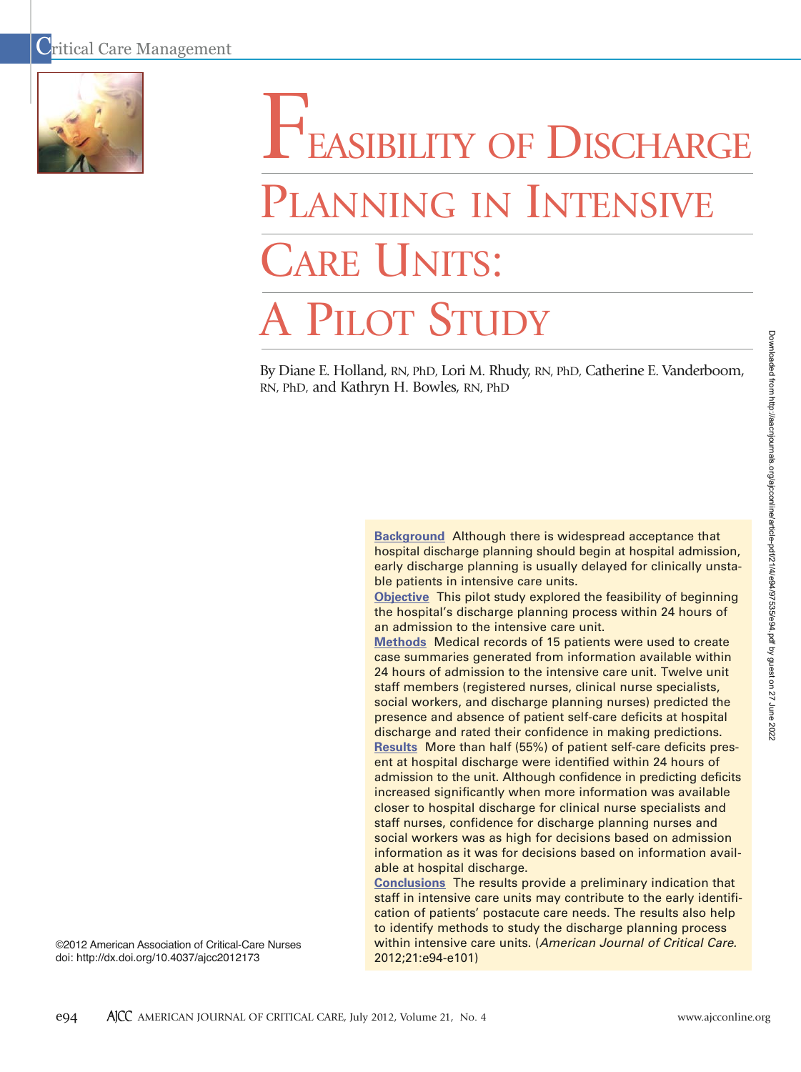

# **FEASIBILITY OF DISCHARGE** PLANNING IN INTENSIVE CARE UNITS: A PILOT STUDY

By Diane E. Holland, RN, PhD, Lori M. Rhudy, RN, PhD, Catherine E. Vanderboom, RN, PhD, and Kathryn H. Bowles, RN, PhD

> **Background** Although there is widespread acceptance that hospital discharge planning should begin at hospital admission, early discharge planning is usually delayed for clinically unstable patients in intensive care units.

> **Objective** This pilot study explored the feasibility of beginning the hospital's discharge planning process within 24 hours of an admission to the intensive care unit.

**Methods** Medical records of 15 patients were used to create case summaries generated from information available within 24 hours of admission to the intensive care unit. Twelve unit staff members (registered nurses, clinical nurse specialists, social workers, and discharge planning nurses) predicted the presence and absence of patient self-care deficits at hospital discharge and rated their confidence in making predictions. **Results** More than half (55%) of patient self-care deficits present at hospital discharge were identified within 24 hours of admission to the unit. Although confidence in predicting deficits increased significantly when more information was available closer to hospital discharge for clinical nurse specialists and staff nurses, confidence for discharge planning nurses and social workers was as high for decisions based on admission information as it was for decisions based on information available at hospital discharge.

**Conclusions** The results provide a preliminary indication that staff in intensive care units may contribute to the early identification of patients' postacute care needs. The results also help to identify methods to study the discharge planning process within intensive care units. (*American Journal of Critical Care.* 2012;21:e94-e101)

©2012 American Association of Critical-Care Nurses doi: http://dx.doi.org/10.4037/ajcc2012173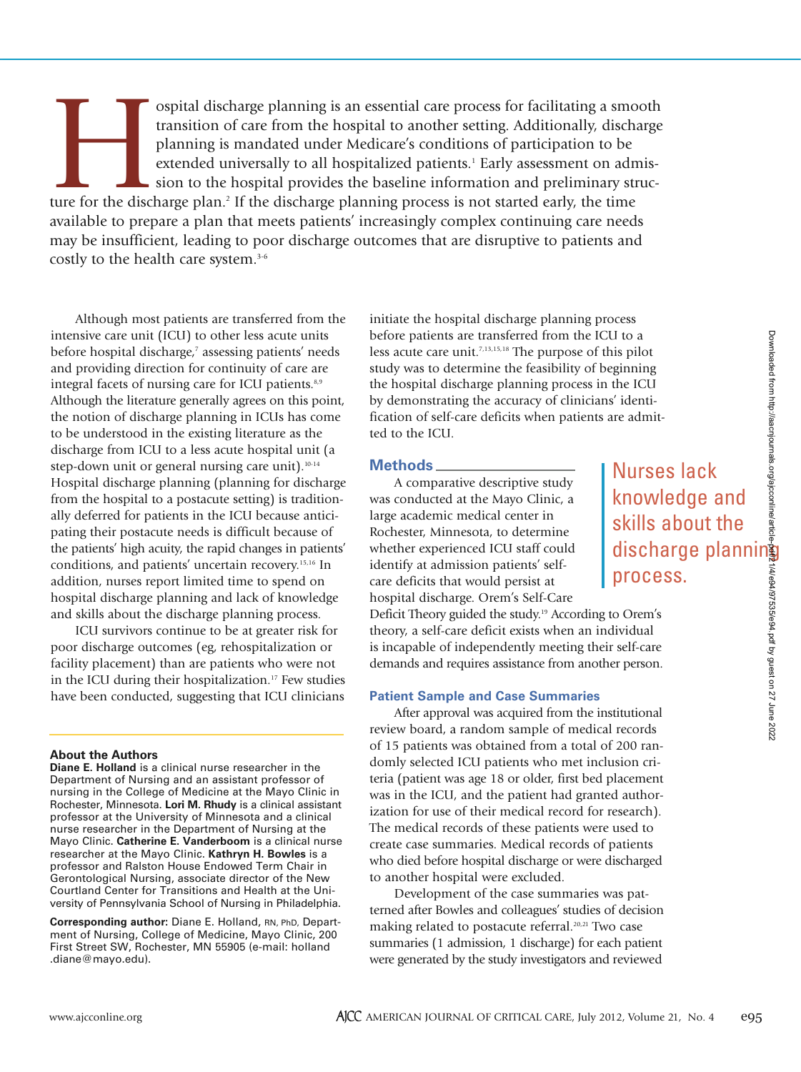ospital discharge planning is an essential care process for facilitating a smooth<br>transition of care from the hospital to another setting. Additionally, discharge<br>planning is mandated under Medicare's conditions of partici transition of care from the hospital to another setting. Additionally, discharge planning is mandated under Medicare's conditions of participation to be extended universally to all hospitalized patients.<sup>1</sup> Early assessment on admission to the hospital provides the baseline information and preliminary strucavailable to prepare a plan that meets patients' increasingly complex continuing care needs may be insufficient, leading to poor discharge outcomes that are disruptive to patients and costly to the health care system.3-6

Although most patients are transferred from the intensive care unit (ICU) to other less acute units before hospital discharge,<sup>7</sup> assessing patients' needs and providing direction for continuity of care are integral facets of nursing care for ICU patients.<sup>8,9</sup> Although the literature generally agrees on this point, the notion of discharge planning in ICUs has come to be understood in the existing literature as the discharge from ICU to a less acute hospital unit (a step-down unit or general nursing care unit).<sup>10-14</sup> Hospital discharge planning (planning for discharge from the hospital to a postacute setting) is traditionally deferred for patients in the ICU because anticipating their postacute needs is difficult because of the patients' high acuity, the rapid changes in patients' conditions, and patients' uncertain recovery.15,16 In addition, nurses report limited time to spend on hospital discharge planning and lack of knowledge and skills about the discharge planning process.

ICU survivors continue to be at greater risk for poor discharge outcomes (eg, rehospitalization or facility placement) than are patients who were not in the ICU during their hospitalization.<sup>17</sup> Few studies have been conducted, suggesting that ICU clinicians

# **About the Authors**

**Diane E. Holland** is a clinical nurse researcher in the Department of Nursing and an assistant professor of nursing in the College of Medicine at the Mayo Clinic in Rochester, Minnesota. **Lori M. Rhudy** is a clinical assistant professor at the University of Minnesota and a clinical nurse researcher in the Department of Nursing at the Mayo Clinic. **Catherine E. Vanderboom** is a clinical nurse researcher at the Mayo Clinic. **Kathryn H. Bowles** is a professor and Ralston House Endowed Term Chair in Gerontological Nursing, associate director of the New Courtland Center for Transitions and Health at the University of Pennsylvania School of Nursing in Philadelphia.

**Corresponding author:** Diane E. Holland, RN, PhD, Department of Nursing, College of Medicine, Mayo Clinic, 200 First Street SW, Rochester, MN 55905 (e-mail: holland .diane@mayo.edu).

initiate the hospital discharge planning process before patients are transferred from the ICU to a less acute care unit.7,13,15,18 The purpose of this pilot study was to determine the feasibility of beginning the hospital discharge planning process in the ICU by demonstrating the accuracy of clinicians' identification of self-care deficits when patients are admitted to the ICU.

# **Methods**

A comparative descriptive study was conducted at the Mayo Clinic, a large academic medical center in Rochester, Minnesota, to determine whether experienced ICU staff could identify at admission patients' selfcare deficits that would persist at hospital discharge. Orem's Self-Care

Deficit Theory guided the study.<sup>19</sup> According to Orem's theory, a self-care deficit exists when an individual is incapable of independently meeting their self-care demands and requires assistance from another person.

# **Patient Sample and Case Summaries**

After approval was acquired from the institutional review board, a random sample of medical records of 15 patients was obtained from a total of 200 randomly selected ICU patients who met inclusion criteria (patient was age 18 or older, first bed placement was in the ICU, and the patient had granted authorization for use of their medical record for research). The medical records of these patients were used to create case summaries. Medical records of patients who died before hospital discharge or were discharged to another hospital were excluded.

Development of the case summaries was patterned after Bowles and colleagues' studies of decision making related to postacute referral.<sup>20,21</sup> Two case summaries (1 admission, 1 discharge) for each patient were generated by the study investigators and reviewed

# Nurses lack knowledge and skills about the discharge planning process.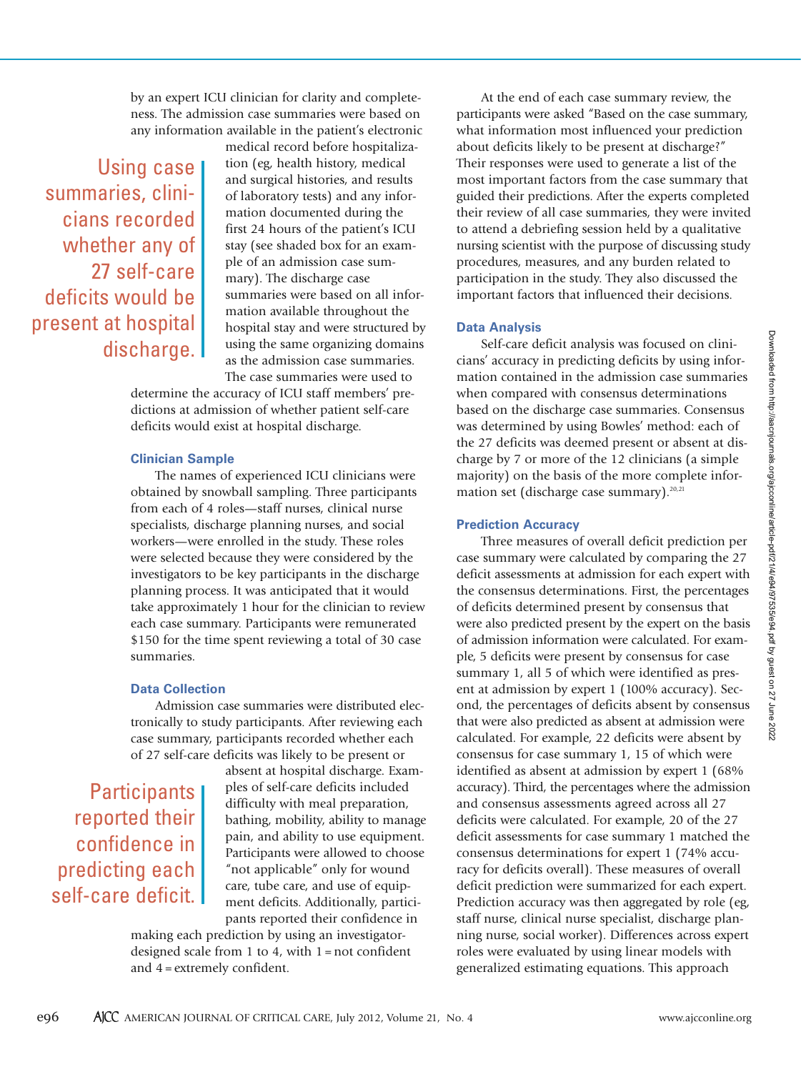by an expert ICU clinician for clarity and completeness. The admission case summaries were based on any information available in the patient's electronic

Using case summaries, clinicians recorded whether any of 27 self-care deficits would be present at hospital discharge. medical record before hospitalization (eg, health history, medical and surgical histories, and results of laboratory tests) and any information documented during the first 24 hours of the patient's ICU stay (see shaded box for an example of an admission case summary). The discharge case summaries were based on all information available throughout the hospital stay and were structured by using the same organizing domains as the admission case summaries. The case summaries were used to

determine the accuracy of ICU staff members' predictions at admission of whether patient self-care deficits would exist at hospital discharge.

# **Clinician Sample**

The names of experienced ICU clinicians were obtained by snowball sampling. Three participants from each of 4 roles—staff nurses, clinical nurse specialists, discharge planning nurses, and social workers—were enrolled in the study. These roles were selected because they were considered by the investigators to be key participants in the discharge planning process. It was anticipated that it would take approximately 1 hour for the clinician to review each case summary. Participants were remunerated \$150 for the time spent reviewing a total of 30 case summaries.

# **Data Collection**

Admission case summaries were distributed electronically to study participants. After reviewing each case summary, participants recorded whether each of 27 self-care deficits was likely to be present or

# **Participants** reported their confidence in predicting each self-care deficit.

absent at hospital discharge. Examples of self-care deficits included difficulty with meal preparation, bathing, mobility, ability to manage pain, and ability to use equipment. Participants were allowed to choose "not applicable" only for wound care, tube care, and use of equipment deficits. Additionally, participants reported their confidence in

making each prediction by using an investigatordesigned scale from 1 to 4, with  $1 = not$  confident and 4 = extremely confident.

At the end of each case summary review, the participants were asked "Based on the case summary, what information most influenced your prediction about deficits likely to be present at discharge?" Their responses were used to generate a list of the most important factors from the case summary that guided their predictions. After the experts completed their review of all case summaries, they were invited to attend a debriefing session held by a qualitative nursing scientist with the purpose of discussing study procedures, measures, and any burden related to participation in the study. They also discussed the important factors that influenced their decisions.

# **Data Analysis**

Self-care deficit analysis was focused on clinicians' accuracy in predicting deficits by using information contained in the admission case summaries when compared with consensus determinations based on the discharge case summaries. Consensus was determined by using Bowles' method: each of the 27 deficits was deemed present or absent at discharge by 7 or more of the 12 clinicians (a simple majority) on the basis of the more complete information set (discharge case summary).<sup>20,21</sup>

# **Prediction Accuracy**

Three measures of overall deficit prediction per case summary were calculated by comparing the 27 deficit assessments at admission for each expert with the consensus determinations. First, the percentages of deficits determined present by consensus that were also predicted present by the expert on the basis of admission information were calculated. For example, 5 deficits were present by consensus for case summary 1, all 5 of which were identified as present at admission by expert 1 (100% accuracy). Second, the percentages of deficits absent by consensus that were also predicted as absent at admission were calculated. For example, 22 deficits were absent by consensus for case summary 1, 15 of which were identified as absent at admission by expert 1 (68% accuracy). Third, the percentages where the admission and consensus assessments agreed across all 27 deficits were calculated. For example, 20 of the 27 deficit assessments for case summary 1 matched the consensus determinations for expert 1 (74% accuracy for deficits overall). These measures of overall deficit prediction were summarized for each expert. Prediction accuracy was then aggregated by role (eg, staff nurse, clinical nurse specialist, discharge planning nurse, social worker). Differences across expert roles were evaluated by using linear models with generalized estimating equations. This approach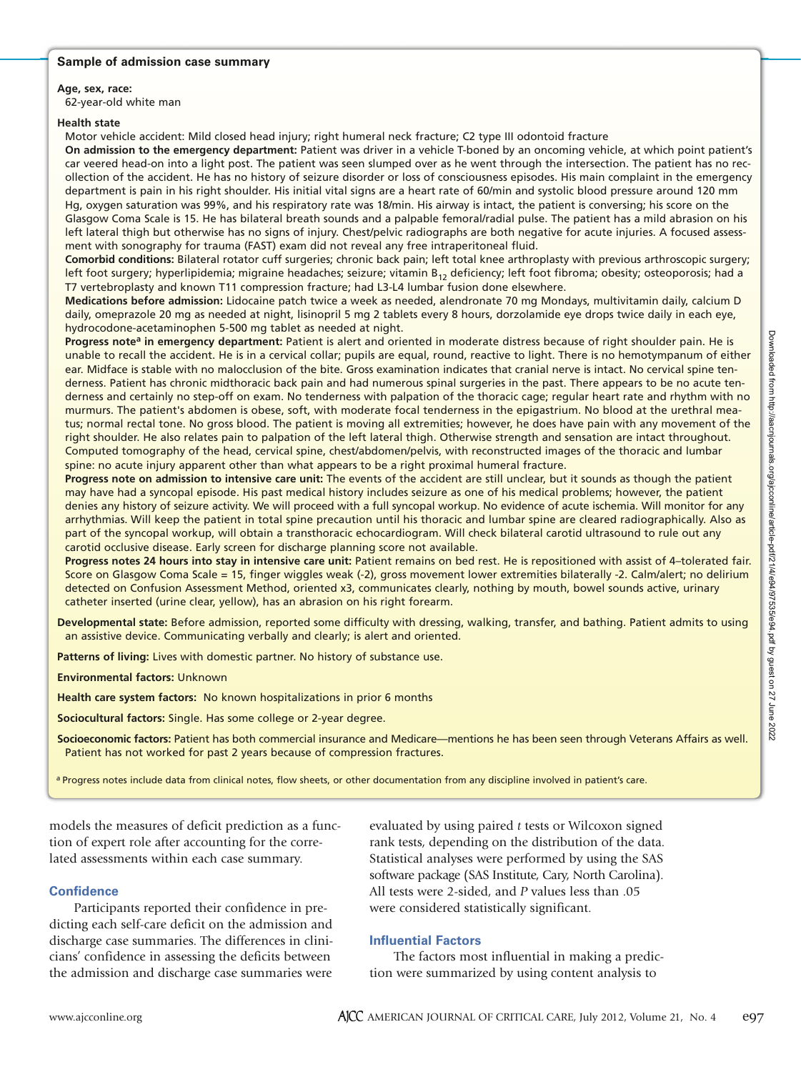# **Sample of admission case summary**

# **Age, sex, race:**

62-year-old white man

# **Health state**

Motor vehicle accident: Mild closed head injury; right humeral neck fracture; C2 type III odontoid fracture

**On admission to the emergency department:** Patient was driver in a vehicle T-boned by an oncoming vehicle, at which point patient's car veered head-on into a light post. The patient was seen slumped over as he went through the intersection. The patient has no recollection of the accident. He has no history of seizure disorder or loss of consciousness episodes. His main complaint in the emergency department is pain in his right shoulder. His initial vital signs are a heart rate of 60/min and systolic blood pressure around 120 mm Hg, oxygen saturation was 99%, and his respiratory rate was 18/min. His airway is intact, the patient is conversing; his score on the Glasgow Coma Scale is 15. He has bilateral breath sounds and a palpable femoral/radial pulse. The patient has a mild abrasion on his left lateral thigh but otherwise has no signs of injury. Chest/pelvic radiographs are both negative for acute injuries. A focused assessment with sonography for trauma (FAST) exam did not reveal any free intraperitoneal fluid.

**Comorbid conditions:** Bilateral rotator cuff surgeries; chronic back pain; left total knee arthroplasty with previous arthroscopic surgery; left foot surgery; hyperlipidemia; migraine headaches; seizure; vitamin  $B_{12}$  deficiency; left foot fibroma; obesity; osteoporosis; had a T7 vertebroplasty and known T11 compression fracture; had L3-L4 lumbar fusion done elsewhere.

**Medications before admission:** Lidocaine patch twice a week as needed, alendronate 70 mg Mondays, multivitamin daily, calcium D daily, omeprazole 20 mg as needed at night, lisinopril 5 mg 2 tablets every 8 hours, dorzolamide eye drops twice daily in each eye, hydrocodone-acetaminophen 5-500 mg tablet as needed at night.

**Progress note<sup>a</sup> in emergency department:** Patient is alert and oriented in moderate distress because of right shoulder pain. He is unable to recall the accident. He is in a cervical collar; pupils are equal, round, reactive to light. There is no hemotympanum of either ear. Midface is stable with no malocclusion of the bite. Gross examination indicates that cranial nerve is intact. No cervical spine tenderness. Patient has chronic midthoracic back pain and had numerous spinal surgeries in the past. There appears to be no acute tenderness and certainly no step-off on exam. No tenderness with palpation of the thoracic cage; regular heart rate and rhythm with no murmurs. The patient's abdomen is obese, soft, with moderate focal tenderness in the epigastrium. No blood at the urethral meatus; normal rectal tone. No gross blood. The patient is moving all extremities; however, he does have pain with any movement of the right shoulder. He also relates pain to palpation of the left lateral thigh. Otherwise strength and sensation are intact throughout. Computed tomography of the head, cervical spine, chest/abdomen/pelvis, with reconstructed images of the thoracic and lumbar spine: no acute injury apparent other than what appears to be a right proximal humeral fracture.

**Progress note on admission to intensive care unit:** The events of the accident are still unclear, but it sounds as though the patient may have had a syncopal episode. His past medical history includes seizure as one of his medical problems; however, the patient denies any history of seizure activity. We will proceed with a full syncopal workup. No evidence of acute ischemia. Will monitor for any arrhythmias. Will keep the patient in total spine precaution until his thoracic and lumbar spine are cleared radiographically. Also as part of the syncopal workup, will obtain a transthoracic echocardiogram. Will check bilateral carotid ultrasound to rule out any carotid occlusive disease. Early screen for discharge planning score not available.

**Progress notes 24 hours into stay in intensive care unit:** Patient remains on bed rest. He is repositioned with assist of 4–tolerated fair. Score on Glasgow Coma Scale = 15, finger wiggles weak (-2), gross movement lower extremities bilaterally -2. Calm/alert; no delirium detected on Confusion Assessment Method, oriented x3, communicates clearly, nothing by mouth, bowel sounds active, urinary catheter inserted (urine clear, yellow), has an abrasion on his right forearm.

**Developmental state:** Before admission, reported some difficulty with dressing, walking, transfer, and bathing. Patient admits to using an assistive device. Communicating verbally and clearly; is alert and oriented.

**Patterns of living:** Lives with domestic partner. No history of substance use.

**Environmental factors:** Unknown

**Health care system factors:** No known hospitalizations in prior 6 months

**Sociocultural factors:** Single. Has some college or 2-year degree.

**Socioeconomic factors:** Patient has both commercial insurance and Medicare—mentions he has been seen through Veterans Affairs as well. Patient has not worked for past 2 years because of compression fractures.

a Progress notes include data from clinical notes, flow sheets, or other documentation from any discipline involved in patient's care.

models the measures of deficit prediction as a function of expert role after accounting for the correlated assessments within each case summary.

# **Confidence**

Participants reported their confidence in predicting each self-care deficit on the admission and discharge case summaries. The differences in clinicians' confidence in assessing the deficits between the admission and discharge case summaries were evaluated by using paired *t* tests or Wilcoxon signed rank tests, depending on the distribution of the data. Statistical analyses were performed by using the SAS software package (SAS Institute, Cary, North Carolina). All tests were 2-sided, and *P* values less than .05 were considered statistically significant.

# **Influential Factors**

The factors most influential in making a prediction were summarized by using content analysis to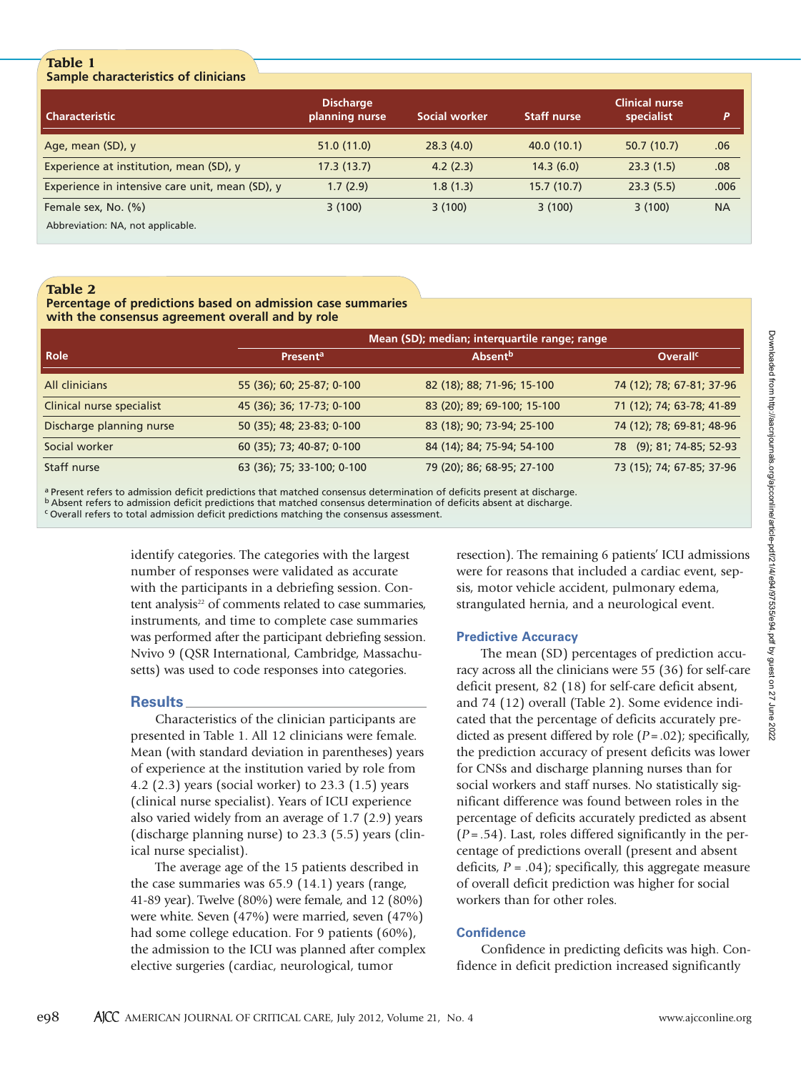# **Table 1 Sample characteristics of clinicians**

| <b>Characteristic</b>                           | <b>Discharge</b><br>planning nurse | Social worker | <b>Staff nurse</b> | <b>Clinical nurse</b><br>specialist | Þ         |
|-------------------------------------------------|------------------------------------|---------------|--------------------|-------------------------------------|-----------|
| Age, mean (SD), y                               | 51.0(11.0)                         | 28.3(4.0)     | 40.0(10.1)         | 50.7(10.7)                          | .06       |
| Experience at institution, mean (SD), y         | 17.3(13.7)                         | 4.2(2.3)      | 14.3(6.0)          | 23.3(1.5)                           | .08       |
| Experience in intensive care unit, mean (SD), y | 1.7(2.9)                           | 1.8(1.3)      | 15.7(10.7)         | 23.3(5.5)                           | .006      |
| Female sex, No. (%)                             | 3(100)                             | 3(100)        | 3(100)             | 3(100)                              | <b>NA</b> |
| Abbreviation: NA, not applicable.               |                                    |               |                    |                                     |           |

# **Table 2**

**Percentage of predictions based on admission case summaries with the consensus agreement overall and by role**

|                           | Mean (SD); median; interquartile range; range |                             |                           |  |
|---------------------------|-----------------------------------------------|-----------------------------|---------------------------|--|
| <b>Role</b>               | <b>Presenta</b>                               | <b>Absent</b> <sup>b</sup>  | Overall <sup>c</sup>      |  |
| All clinicians            | 55 (36); 60; 25-87; 0-100                     | 82 (18); 88; 71-96; 15-100  | 74 (12); 78; 67-81; 37-96 |  |
| Clinical nurse specialist | 45 (36); 36; 17-73; 0-100                     | 83 (20); 89; 69-100; 15-100 | 71 (12); 74; 63-78; 41-89 |  |
| Discharge planning nurse  | 50 (35); 48; 23-83; 0-100                     | 83 (18); 90; 73-94; 25-100  | 74 (12); 78; 69-81; 48-96 |  |
| Social worker             | 60 (35); 73; 40-87; 0-100                     | 84 (14); 84; 75-94; 54-100  | 78 (9); 81; 74-85; 52-93  |  |
| Staff nurse               | 63 (36); 75; 33-100; 0-100                    | 79 (20); 86; 68-95; 27-100  | 73 (15); 74; 67-85; 37-96 |  |

a Present refers to admission deficit predictions that matched consensus determination of deficits present at discharge.

b Absent refers to admission deficit predictions that matched consensus determination of deficits absent at discharge.

c Overall refers to total admission deficit predictions matching the consensus assessment.

identify categories. The categories with the largest number of responses were validated as accurate with the participants in a debriefing session. Content analysis<sup>22</sup> of comments related to case summaries, instruments, and time to complete case summaries was performed after the participant debriefing session. Nvivo 9 (QSR International, Cambridge, Massachusetts) was used to code responses into categories.

# **Results**

Characteristics of the clinician participants are presented in Table 1. All 12 clinicians were female. Mean (with standard deviation in parentheses) years of experience at the institution varied by role from 4.2 (2.3) years (social worker) to 23.3 (1.5) years (clinical nurse specialist). Years of ICU experience also varied widely from an average of 1.7 (2.9) years (discharge planning nurse) to 23.3 (5.5) years (clinical nurse specialist).

The average age of the 15 patients described in the case summaries was 65.9 (14.1) years (range, 41-89 year). Twelve (80%) were female, and 12 (80%) were white. Seven (47%) were married, seven (47%) had some college education. For 9 patients (60%), the admission to the ICU was planned after complex elective surgeries (cardiac, neurological, tumor

resection). The remaining 6 patients' ICU admissions were for reasons that included a cardiac event, sepsis, motor vehicle accident, pulmonary edema, strangulated hernia, and a neurological event.

# **Predictive Accuracy**

The mean (SD) percentages of prediction accuracy across all the clinicians were 55 (36) for self-care deficit present, 82 (18) for self-care deficit absent, and 74 (12) overall (Table 2). Some evidence indicated that the percentage of deficits accurately predicted as present differed by role (*P*= .02); specifically, the prediction accuracy of present deficits was lower for CNSs and discharge planning nurses than for social workers and staff nurses. No statistically significant difference was found between roles in the percentage of deficits accurately predicted as absent (*P* = .54). Last, roles differed significantly in the percentage of predictions overall (present and absent deficits, *P* = .04); specifically, this aggregate measure of overall deficit prediction was higher for social workers than for other roles.

# **Confidence**

Confidence in predicting deficits was high. Confidence in deficit prediction increased significantly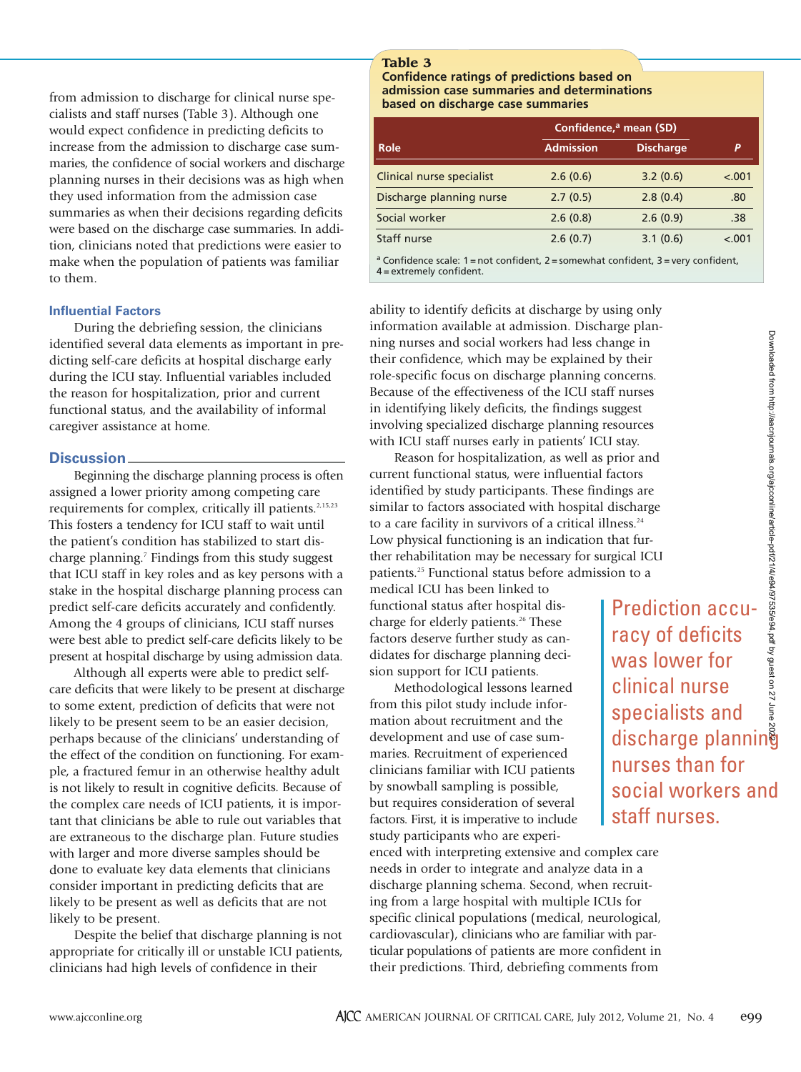from admission to discharge for clinical nurse specialists and staff nurses (Table 3). Although one would expect confidence in predicting deficits to increase from the admission to discharge case summaries, the confidence of social workers and discharge planning nurses in their decisions was as high when they used information from the admission case summaries as when their decisions regarding deficits were based on the discharge case summaries. In addition, clinicians noted that predictions were easier to make when the population of patients was familiar to them.

# **Influential Factors**

During the debriefing session, the clinicians identified several data elements as important in predicting self-care deficits at hospital discharge early during the ICU stay. Influential variables included the reason for hospitalization, prior and current functional status, and the availability of informal caregiver assistance at home.

# **Discussion**

Beginning the discharge planning process is often assigned a lower priority among competing care requirements for complex, critically ill patients.<sup>2,15,23</sup> This fosters a tendency for ICU staff to wait until the patient's condition has stabilized to start discharge planning.<sup>7</sup> Findings from this study suggest that ICU staff in key roles and as key persons with a stake in the hospital discharge planning process can predict self-care deficits accurately and confidently. Among the 4 groups of clinicians, ICU staff nurses were best able to predict self-care deficits likely to be present at hospital discharge by using admission data.

Although all experts were able to predict selfcare deficits that were likely to be present at discharge to some extent, prediction of deficits that were not likely to be present seem to be an easier decision, perhaps because of the clinicians' understanding of the effect of the condition on functioning. For example, a fractured femur in an otherwise healthy adult is not likely to result in cognitive deficits. Because of the complex care needs of ICU patients, it is important that clinicians be able to rule out variables that are extraneous to the discharge plan. Future studies with larger and more diverse samples should be done to evaluate key data elements that clinicians consider important in predicting deficits that are likely to be present as well as deficits that are not likely to be present.

Despite the belief that discharge planning is not appropriate for critically ill or unstable ICU patients, clinicians had high levels of confidence in their

#### **Table 3 Confidence ratings of predictions based on admission case summaries and determinations based on discharge case summaries**

|                                                                           | Confidence, <sup>a</sup> mean (SD) |                  |         |  |  |  |
|---------------------------------------------------------------------------|------------------------------------|------------------|---------|--|--|--|
| Role                                                                      | <b>Admission</b>                   | <b>Discharge</b> | Ρ       |  |  |  |
| Clinical nurse specialist                                                 | 2.6(0.6)                           | 3.2(0.6)         | $-.001$ |  |  |  |
| Discharge planning nurse                                                  | 2.7(0.5)                           | 2.8(0.4)         | .80     |  |  |  |
| Social worker                                                             | 2.6(0.8)                           | 2.6(0.9)         | .38     |  |  |  |
| Staff nurse                                                               | 2.6(0.7)                           | 3.1(0.6)         | $-.001$ |  |  |  |
| 3 Candidanas salai 1 - noti sandidant 2 - sansinalidant 2 - sansinalidant |                                    |                  |         |  |  |  |

a Confidence scale: 1 = not confident, 2 = somewhat confident, 3 = very confident, 4 = extremely confident.

ability to identify deficits at discharge by using only information available at admission. Discharge planning nurses and social workers had less change in their confidence, which may be explained by their role-specific focus on discharge planning concerns. Because of the effectiveness of the ICU staff nurses in identifying likely deficits, the findings suggest involving specialized discharge planning resources with ICU staff nurses early in patients' ICU stay.

Reason for hospitalization, as well as prior and current functional status, were influential factors identified by study participants. These findings are similar to factors associated with hospital discharge to a care facility in survivors of a critical illness.<sup>24</sup> Low physical functioning is an indication that further rehabilitation may be necessary for surgical ICU patients.25 Functional status before admission to a

medical ICU has been linked to functional status after hospital discharge for elderly patients.<sup>26</sup> These factors deserve further study as candidates for discharge planning decision support for ICU patients.

Methodological lessons learned from this pilot study include information about recruitment and the development and use of case summaries. Recruitment of experienced clinicians familiar with ICU patients by snowball sampling is possible, but requires consideration of several factors. First, it is imperative to include study participants who are experi-

enced with interpreting extensive and complex care needs in order to integrate and analyze data in a discharge planning schema. Second, when recruiting from a large hospital with multiple ICUs for specific clinical populations (medical, neurological, cardiovascular), clinicians who are familiar with particular populations of patients are more confident in their predictions. Third, debriefing comments from

Prediction accuracy of deficits was lower for clinical nurse specialists and discharge planning nurses than for social workers and staff nurses. Downloaded from http://aacnjournals.org/ajcconline/article-pdf/21/4/e94/97535/e94.pdf by guest on 27 June 2022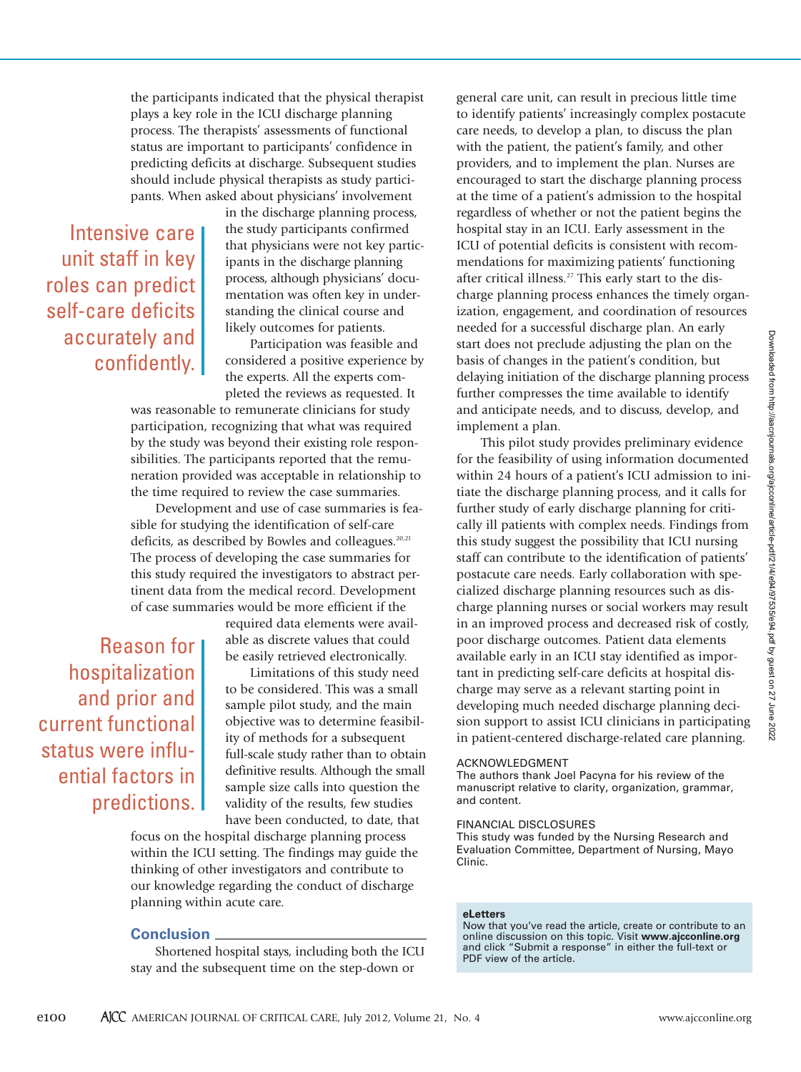the participants indicated that the physical therapist plays a key role in the ICU discharge planning process. The therapists' assessments of functional status are important to participants' confidence in predicting deficits at discharge. Subsequent studies should include physical therapists as study participants. When asked about physicians' involvement

Intensive care unit staff in key roles can predict self-care deficits accurately and confidently. in the discharge planning process, the study participants confirmed that physicians were not key participants in the discharge planning process, although physicians' documentation was often key in understanding the clinical course and likely outcomes for patients.

Participation was feasible and considered a positive experience by the experts. All the experts completed the reviews as requested. It

was reasonable to remunerate clinicians for study participation, recognizing that what was required by the study was beyond their existing role responsibilities. The participants reported that the remuneration provided was acceptable in relationship to the time required to review the case summaries.

Development and use of case summaries is feasible for studying the identification of self-care deficits, as described by Bowles and colleagues.<sup>20,21</sup> The process of developing the case summaries for this study required the investigators to abstract pertinent data from the medical record. Development of case summaries would be more efficient if the

Reason for hospitalization and prior and current functional status were influential factors in predictions.

required data elements were available as discrete values that could be easily retrieved electronically.

Limitations of this study need to be considered. This was a small sample pilot study, and the main objective was to determine feasibility of methods for a subsequent full-scale study rather than to obtain definitive results. Although the small sample size calls into question the validity of the results, few studies have been conducted, to date, that

focus on the hospital discharge planning process within the ICU setting. The findings may guide the thinking of other investigators and contribute to our knowledge regarding the conduct of discharge planning within acute care.

# **Conclusion**

Shortened hospital stays, including both the ICU stay and the subsequent time on the step-down or

general care unit, can result in precious little time to identify patients' increasingly complex postacute care needs, to develop a plan, to discuss the plan with the patient, the patient's family, and other providers, and to implement the plan. Nurses are encouraged to start the discharge planning process at the time of a patient's admission to the hospital regardless of whether or not the patient begins the hospital stay in an ICU. Early assessment in the ICU of potential deficits is consistent with recommendations for maximizing patients' functioning after critical illness.<sup>27</sup> This early start to the discharge planning process enhances the timely organization, engagement, and coordination of resources needed for a successful discharge plan. An early start does not preclude adjusting the plan on the basis of changes in the patient's condition, but delaying initiation of the discharge planning process further compresses the time available to identify and anticipate needs, and to discuss, develop, and implement a plan.

This pilot study provides preliminary evidence for the feasibility of using information documented within 24 hours of a patient's ICU admission to initiate the discharge planning process, and it calls for further study of early discharge planning for critically ill patients with complex needs. Findings from this study suggest the possibility that ICU nursing staff can contribute to the identification of patients' postacute care needs. Early collaboration with specialized discharge planning resources such as discharge planning nurses or social workers may result in an improved process and decreased risk of costly, poor discharge outcomes. Patient data elements available early in an ICU stay identified as important in predicting self-care deficits at hospital discharge may serve as a relevant starting point in developing much needed discharge planning decision support to assist ICU clinicians in participating in patient-centered discharge-related care planning.

#### ACKNOWLEDGMENT

The authors thank Joel Pacyna for his review of the manuscript relative to clarity, organization, grammar, and content.

#### FINANCIAL DISCLOSURES

This study was funded by the Nursing Research and Evaluation Committee, Department of Nursing, Mayo Clinic.

# **eLetters**

Now that you've read the article, create or contribute to an online discussion on this topic. Visit **www.ajcconline.org** and click "Submit a response" in either the full-text or PDF view of the article.